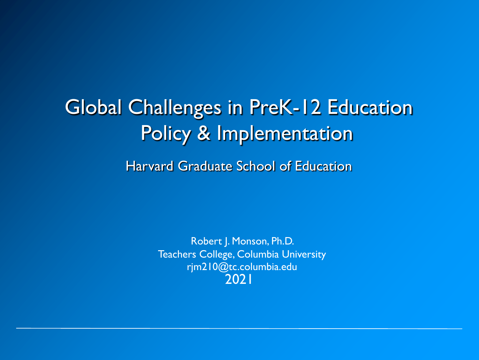Global Challenges in PreK-12 Education Policy & Implementation

Harvard Graduate School of Education

Robert J. Monson, Ph.D. Teachers College, Columbia University rjm210@tc.columbia.edu 2021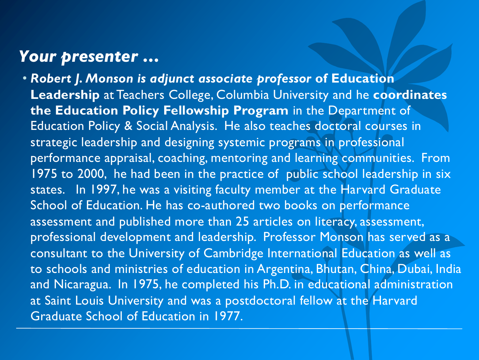### *Your presenter …*

• *Robert J. Monson is adjunct associate professor* **of Education Leadership** at Teachers College, Columbia University and he **coordinates the Education Policy Fellowship Program** in the Department of Education Policy & Social Analysis. He also teaches doctoral courses in strategic leadership and designing systemic programs in professional performance appraisal, coaching, mentoring and learning communities. From 1975 to 2000, he had been in the practice of public school leadership in six states. In 1997, he was a visiting faculty member at the Harvard Graduate School of Education. He has co-authored two books on performance assessment and published more than 25 articles on literacy, assessment, professional development and leadership. Professor Monson has served as a consultant to the University of Cambridge International Education as well as to schools and ministries of education in Argentina, Bhutan, China, Dubai, India and Nicaragua. In 1975, he completed his Ph.D. in educational administration at Saint Louis University and was a postdoctoral fellow at the Harvard Graduate School of Education in 1977.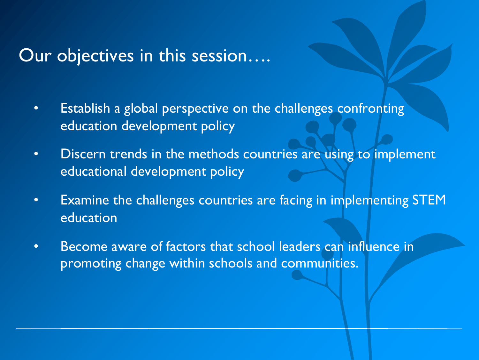### Our objectives in this session….

- Establish a global perspective on the challenges confronting education development policy
- Discern trends in the methods countries are using to implement educational development policy
- Examine the challenges countries are facing in implementing STEM education
- Become aware of factors that school leaders can influence in promoting change within schools and communities.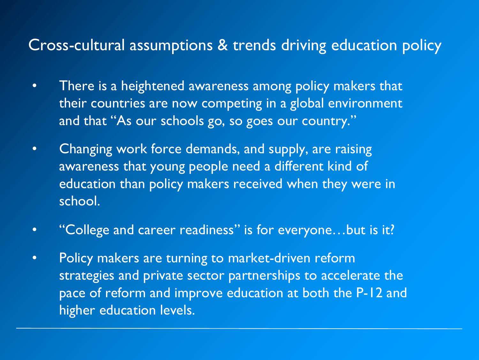### Cross-cultural assumptions & trends driving education policy

- There is a heightened awareness among policy makers that their countries are now competing in a global environment and that "As our schools go, so goes our country."
- Changing work force demands, and supply, are raising awareness that young people need a different kind of education than policy makers received when they were in school.
- "College and career readiness" is for everyone…but is it?
- Policy makers are turning to market-driven reform strategies and private sector partnerships to accelerate the pace of reform and improve education at both the P-12 and higher education levels.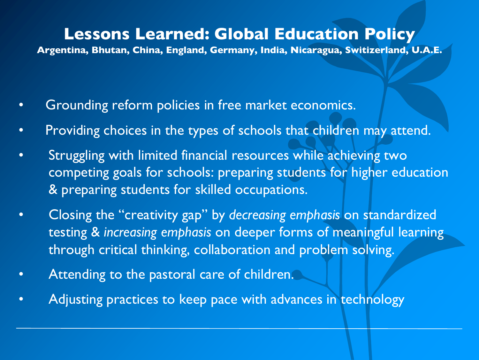#### **Lessons Learned: Global Education Policy**

**Argentina, Bhutan, China, England, Germany, India, Nicaragua, Switizerland, U.A.E.**

- Grounding reform policies in free market economics.
- Providing choices in the types of schools that children may attend.
- Struggling with limited financial resources while achieving two competing goals for schools: preparing students for higher education & preparing students for skilled occupations.
- Closing the "creativity gap" by *decreasing emphasis* on standardized testing & *increasing emphasis* on deeper forms of meaningful learning through critical thinking, collaboration and problem solving.
- Attending to the pastoral care of children.
- Adjusting practices to keep pace with advances in technology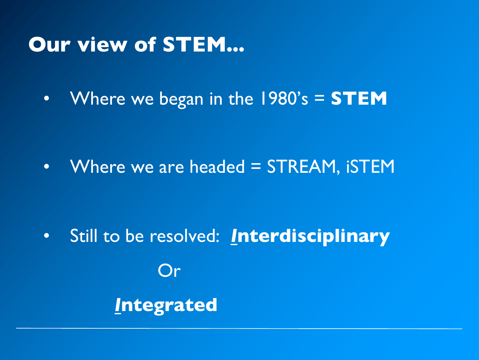# **Our view of STEM...**

• Where we began in the 1980's = **STEM**

• Where we are headed = STREAM, iSTEM

• Still to be resolved: *I***nterdisciplinary** Or *I***ntegrated**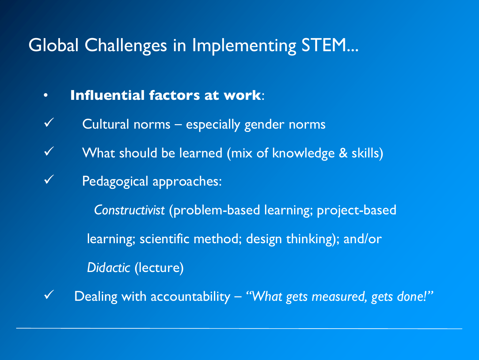## Global Challenges in Implementing STEM...

- **Influential factors at work**:
- $\checkmark$  Cultural norms especially gender norms
- $\checkmark$  What should be learned (mix of knowledge & skills)
- $\checkmark$  Pedagogical approaches:

*Constructivist* (problem-based learning; project-based learning; scientific method; design thinking); and/or *Didactic* (lecture)

ü Dealing with accountability ‒ *"What gets measured, gets done!"*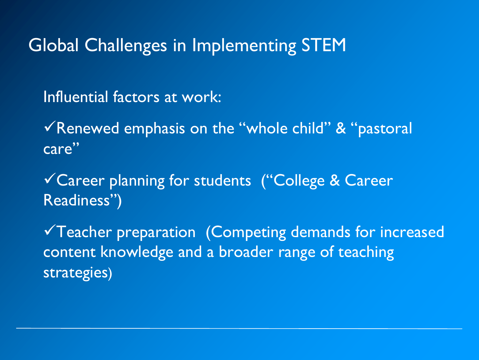## Global Challenges in Implementing STEM

Influential factors at work:

 $\sqrt{\pi}$ Renewed emphasis on the "whole child" & "pastoral care"

√Career planning for students ("College & Career Readiness")

 $\checkmark$  Teacher preparation (Competing demands for increased content knowledge and a broader range of teaching strategies)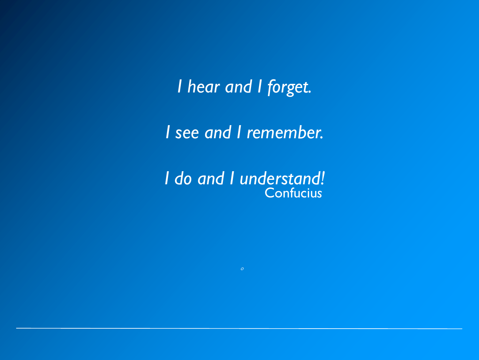*I hear and I forget.*

*I see and I remember.*

Confuciu*s I do and I understand!*